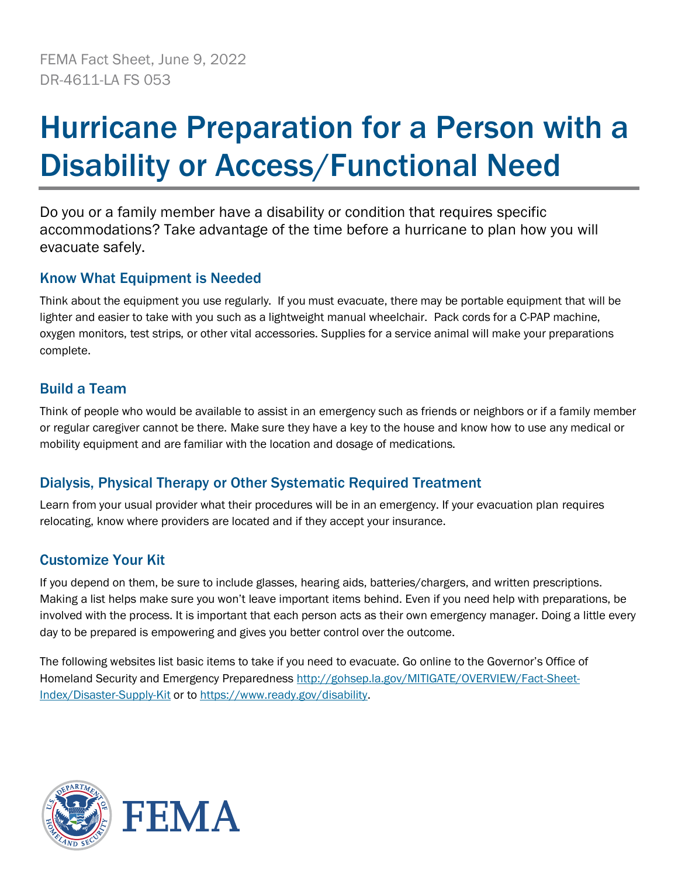# Hurricane Preparation for a Person with a Disability or Access/Functional Need

Do you or a family member have a disability or condition that requires specific accommodations? Take advantage of the time before a hurricane to plan how you will evacuate safely.

## Know What Equipment is Needed

Think about the equipment you use regularly. If you must evacuate, there may be portable equipment that will be lighter and easier to take with you such as a lightweight manual wheelchair. Pack cords for a C-PAP machine, oxygen monitors, test strips, or other vital accessories. Supplies for a service animal will make your preparations complete.

## Build a Team

Think of people who would be available to assist in an emergency such as friends or neighbors or if a family member or regular caregiver cannot be there. Make sure they have a key to the house and know how to use any medical or mobility equipment and are familiar with the location and dosage of medications.

## Dialysis, Physical Therapy or Other Systematic Required Treatment

Learn from your usual provider what their procedures will be in an emergency. If your evacuation plan requires relocating, know where providers are located and if they accept your insurance.

### Customize Your Kit

If you depend on them, be sure to include glasses, hearing aids, batteries/chargers, and written prescriptions. Making a list helps make sure you won't leave important items behind. Even if you need help with preparations, be involved with the process. It is important that each person acts as their own emergency manager. Doing a little every day to be prepared is empowering and gives you better control over the outcome.

The following websites list basic items to take if you need to evacuate. Go online to the Governor's Office of Homeland Security and Emergency Preparedness [http://gohsep.la.gov/MITIGATE/OVERVIEW/Fact-Sheet-](http://gohsep.la.gov/MITIGATE/OVERVIEW/Fact-Sheet-Index/Disaster-Supply-Kit)[Index/Disaster-Supply-Kit](http://gohsep.la.gov/MITIGATE/OVERVIEW/Fact-Sheet-Index/Disaster-Supply-Kit) or t[o https://www.ready.gov/disability.](https://www.ready.gov/disability)